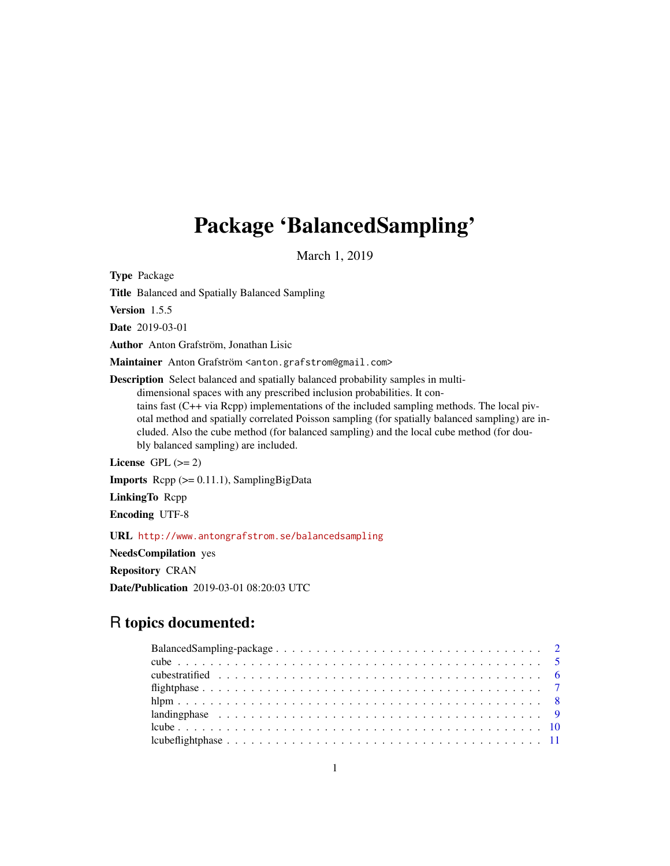# Package 'BalancedSampling'

March 1, 2019

Type Package

Title Balanced and Spatially Balanced Sampling

Version 1.5.5

Date 2019-03-01

Author Anton Grafström, Jonathan Lisic

Maintainer Anton Grafström <anton.grafstrom@gmail.com>

Description Select balanced and spatially balanced probability samples in multidimensional spaces with any prescribed inclusion probabilities. It contains fast (C++ via Rcpp) implementations of the included sampling methods. The local pivotal method and spatially correlated Poisson sampling (for spatially balanced sampling) are included. Also the cube method (for balanced sampling) and the local cube method (for doubly balanced sampling) are included.

License GPL  $(>= 2)$ 

Imports Rcpp (>= 0.11.1), SamplingBigData

LinkingTo Rcpp

Encoding UTF-8

URL <http://www.antongrafstrom.se/balancedsampling>

NeedsCompilation yes

Repository CRAN

Date/Publication 2019-03-01 08:20:03 UTC

# R topics documented:

| landing phase $\ldots \ldots \ldots \ldots \ldots \ldots \ldots \ldots \ldots \ldots \ldots \ldots \ldots$ |  |
|------------------------------------------------------------------------------------------------------------|--|
|                                                                                                            |  |
|                                                                                                            |  |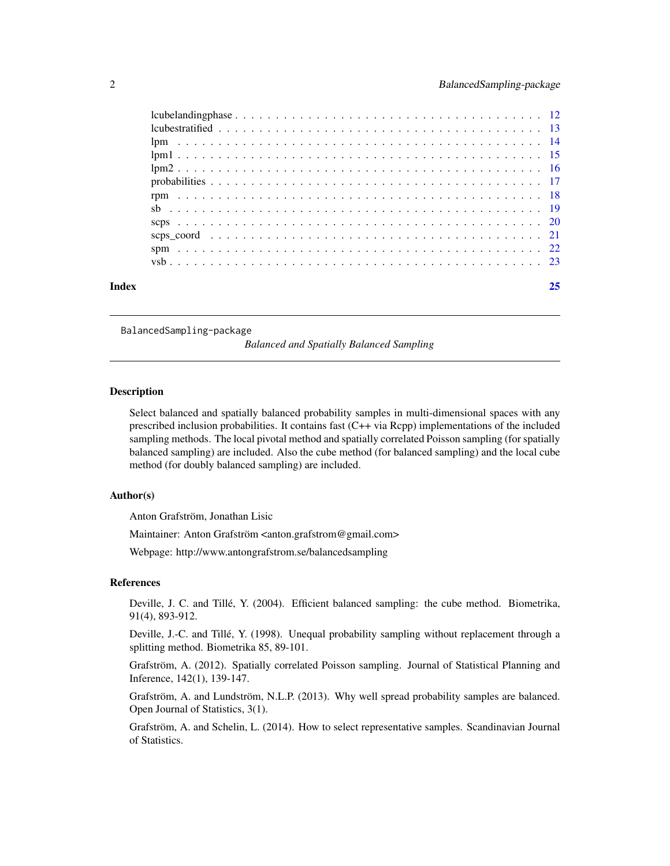<span id="page-1-0"></span>

| Index | 25 |
|-------|----|
|       |    |
|       |    |
|       |    |
|       |    |
|       |    |
|       |    |
|       |    |
|       |    |
|       |    |
|       |    |
|       |    |
|       |    |

BalancedSampling-package

*Balanced and Spatially Balanced Sampling*

#### **Description**

Select balanced and spatially balanced probability samples in multi-dimensional spaces with any prescribed inclusion probabilities. It contains fast (C++ via Rcpp) implementations of the included sampling methods. The local pivotal method and spatially correlated Poisson sampling (for spatially balanced sampling) are included. Also the cube method (for balanced sampling) and the local cube method (for doubly balanced sampling) are included.

# Author(s)

Anton Grafström, Jonathan Lisic

Maintainer: Anton Grafström <anton.grafstrom@gmail.com>

Webpage: http://www.antongrafstrom.se/balancedsampling

### References

Deville, J. C. and Tillé, Y. (2004). Efficient balanced sampling: the cube method. Biometrika, 91(4), 893-912.

Deville, J.-C. and Tillé, Y. (1998). Unequal probability sampling without replacement through a splitting method. Biometrika 85, 89-101.

Grafström, A. (2012). Spatially correlated Poisson sampling. Journal of Statistical Planning and Inference, 142(1), 139-147.

Grafström, A. and Lundström, N.L.P. (2013). Why well spread probability samples are balanced. Open Journal of Statistics, 3(1).

Grafström, A. and Schelin, L. (2014). How to select representative samples. Scandinavian Journal of Statistics.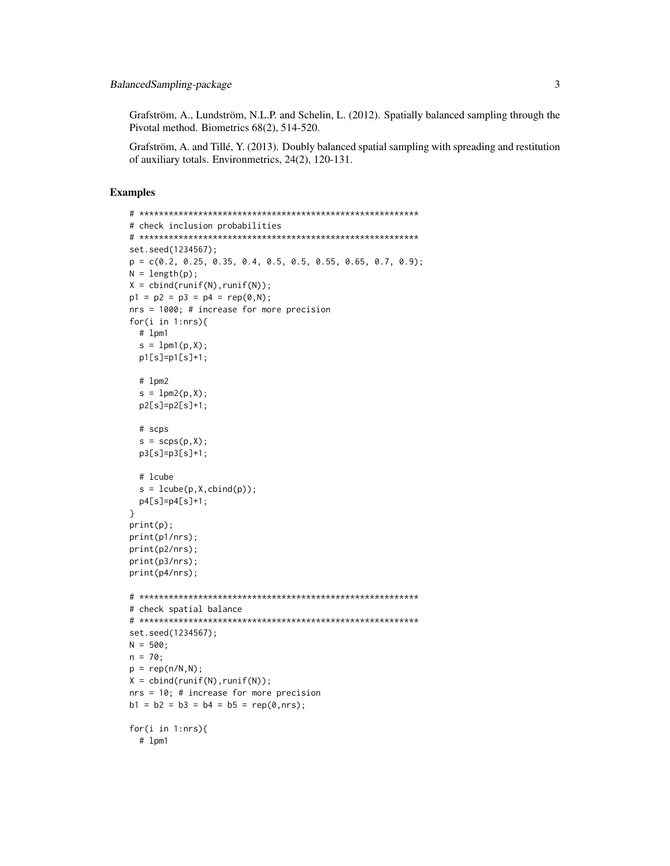Grafström, A., Lundström, N.L.P. and Schelin, L. (2012). Spatially balanced sampling through the Pivotal method. Biometrics 68(2), 514-520.

Grafström, A. and Tillé, Y. (2013). Doubly balanced spatial sampling with spreading and restitution of auxiliary totals. Environmetrics, 24(2), 120-131.

# Examples

```
# *********************************************************
# check inclusion probabilities
# *********************************************************
set.seed(1234567);
p = c(0.2, 0.25, 0.35, 0.4, 0.5, 0.5, 0.55, 0.65, 0.7, 0.9);
N = length(p);
X = \text{cbind}(\text{runif}(N), \text{runif}(N));p1 = p2 = p3 = p4 = rep(0,N);nrs = 1000; # increase for more precision
for(i in 1:nrs){
  # lpm1
  s = 1pm1(p, X);p1[s]=p1[s]+1;
  # lpm2
  s = 1pm2(p,X);
  p2[s]=p2[s]+1;
  # scps
  s = scps(p, X);p3[s]=p3[s]+1;
  # lcube
  s = \text{lcube}(p, X, \text{cbind}(p));p4[s]=p4[s]+1;
}
print(p);
print(p1/nrs);
print(p2/nrs);
print(p3/nrs);
print(p4/nrs);
# *********************************************************
# check spatial balance
# *********************************************************
set.seed(1234567);
N = 500;n = 70;
p = rep(n/N,N);X = \text{cbind}(\text{runif(N)}, \text{runif(N)});nrs = 10; # increase for more precision
b1 = b2 = b3 = b4 = b5 = rep(0, nrs);for(i in 1:nrs){
  # lpm1
```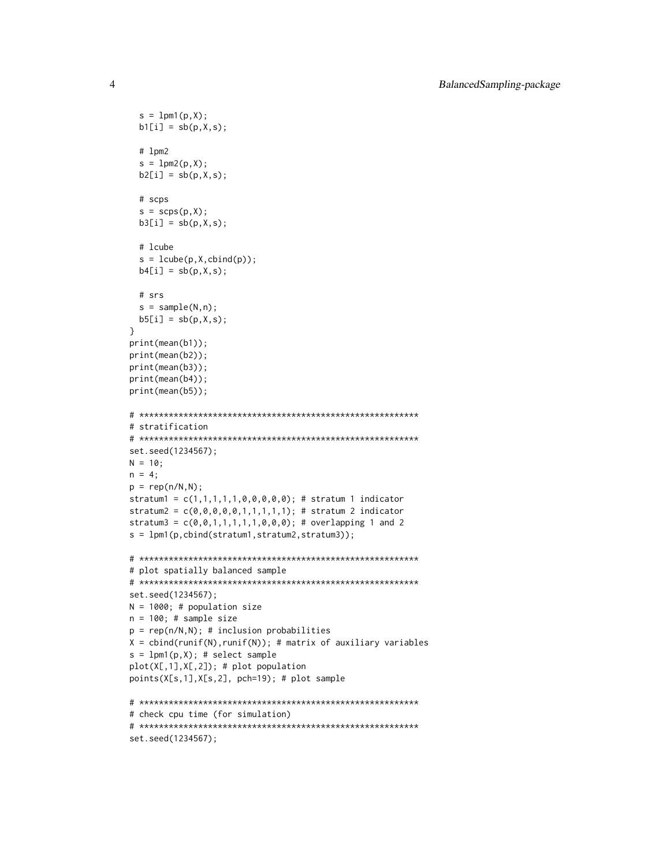```
s = 1pm1(p,X);b1[i] = sb(p,X,s);# lpm2
  s = 1pm2(p,X);b2[i] = sb(p,X,s);# scps
  s = scps(p, X);b3[i] = sb(p,X,s);# lcube
  s = \text{lcube}(p, X, \text{cbind}(p));b4[i] = sb(p,X,s);# srs
  s = sample(N, n);b5[i] = sb(p,X,s);}
print(mean(b1));
print(mean(b2));
print(mean(b3));
print(mean(b4));
print(mean(b5));
# *********************************************************
# stratification
# *********************************************************
set.seed(1234567);
N = 10;n = 4;p = rep(n/N,N);stratum1 = c(1,1,1,1,1,0,0,0,0,0); # stratum 1 indicator
stratum2 = c(0,0,0,0,0,1,1,1,1,1); # stratum 2 indicator
stratum3 = c(0,0,1,1,1,1,1,0,0,0); # overlapping 1 and 2
s = lpm1(p,cbind(stratum1,stratum2,stratum3));
# *********************************************************
# plot spatially balanced sample
# *********************************************************
set.seed(1234567);
N = 1000; # population size
n = 100; # sample size
p = rep(n/N,N); # inclusion probabilities
X = \text{cbind}(\text{runif(N)}, \text{runif(N)}); # matrix of auxiliary variables
s = 1pm1(p,X); # select sample
plot(X[,1],X[,2]); # plot population
points(X[s,1],X[s,2], pch=19); # plot sample
# *********************************************************
# check cpu time (for simulation)
# *********************************************************
```

```
set.seed(1234567);
```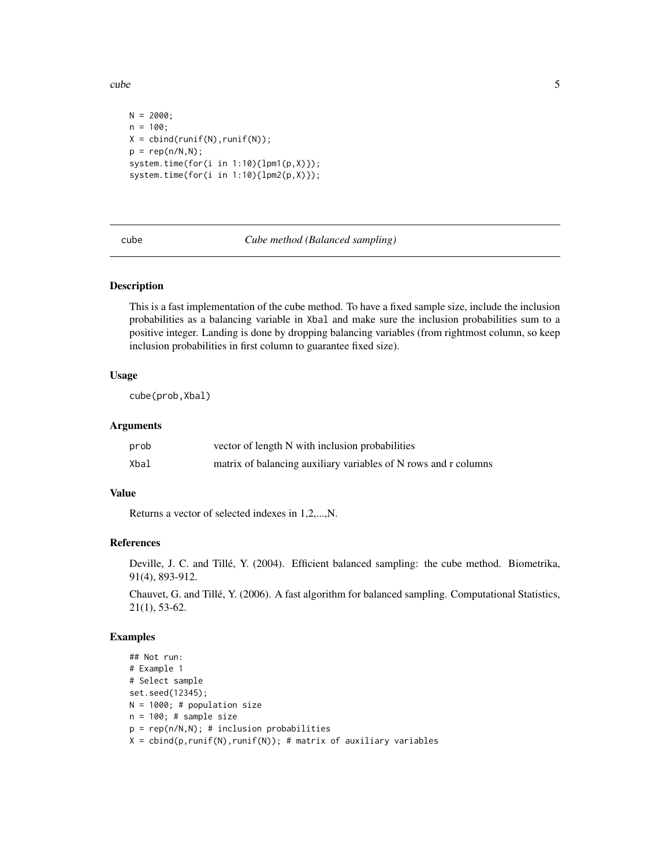<span id="page-4-0"></span>cube 5

```
N = 2000;n = 100;
X = \text{cbind}(\text{runif(N)}, \text{runif(N)});p = rep(n/N,N);system.time(for(i in 1:10){lpm1(p,X)});
system.time(for(i in 1:10){lpm2(p,X)});
```
cube *Cube method (Balanced sampling)*

### Description

This is a fast implementation of the cube method. To have a fixed sample size, include the inclusion probabilities as a balancing variable in Xbal and make sure the inclusion probabilities sum to a positive integer. Landing is done by dropping balancing variables (from rightmost column, so keep inclusion probabilities in first column to guarantee fixed size).

# Usage

cube(prob,Xbal)

# Arguments

| prob | vector of length N with inclusion probabilities                 |
|------|-----------------------------------------------------------------|
| Xbal | matrix of balancing auxiliary variables of N rows and r columns |

# Value

Returns a vector of selected indexes in 1,2,...,N.

# References

Deville, J. C. and Tillé, Y. (2004). Efficient balanced sampling: the cube method. Biometrika, 91(4), 893-912.

Chauvet, G. and Tillé, Y. (2006). A fast algorithm for balanced sampling. Computational Statistics, 21(1), 53-62.

# Examples

```
## Not run:
# Example 1
# Select sample
set.seed(12345);
N = 1000; # population size
n = 100; # sample size
p = rep(n/N,N); # inclusion probabilities
X = \text{cbind}(p, \text{runif}(N), \text{runif}(N)); # matrix of auxiliary variables
```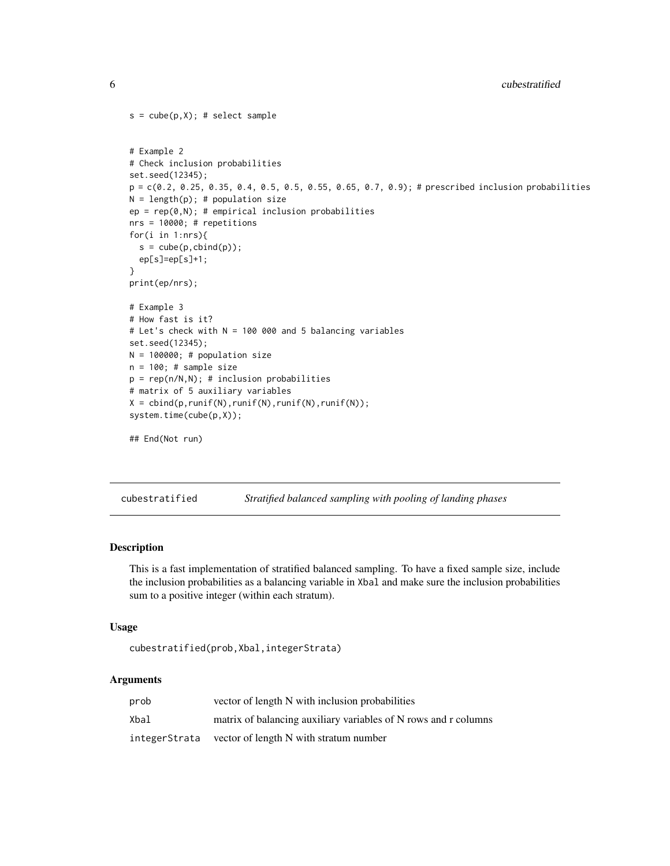```
s = cube(p, X); # select sample
# Example 2
# Check inclusion probabilities
set.seed(12345);
p = c(0.2, 0.25, 0.35, 0.4, 0.5, 0.5, 0.55, 0.65, 0.7, 0.9); # prescribed inclusion probabilities
N = length(p); # population size
ep = rep(0,N); # empirical inclusion probabilities
nrs = 10000; # repetitions
for(i in 1:nrs){
  s = cube(p, child(p));ep[s]=ep[s]+1;
}
print(ep/nrs);
# Example 3
# How fast is it?
# Let's check with N = 100 000 and 5 balancing variables
set.seed(12345);
N = 100000; # population size
n = 100; # sample size
p = rep(n/N,N); # inclusion probabilities
# matrix of 5 auxiliary variables
X = \text{cbind}(p, runif(N), runif(N), runif(N), runif(N));system.time(cube(p,X));
## End(Not run)
```
cubestratified *Stratified balanced sampling with pooling of landing phases*

# Description

This is a fast implementation of stratified balanced sampling. To have a fixed sample size, include the inclusion probabilities as a balancing variable in Xbal and make sure the inclusion probabilities sum to a positive integer (within each stratum).

#### Usage

```
cubestratified(prob,Xbal,integerStrata)
```

| prob          | vector of length N with inclusion probabilities                 |
|---------------|-----------------------------------------------------------------|
| Xbal          | matrix of balancing auxiliary variables of N rows and r columns |
| integerStrata | vector of length N with stratum number                          |

<span id="page-5-0"></span>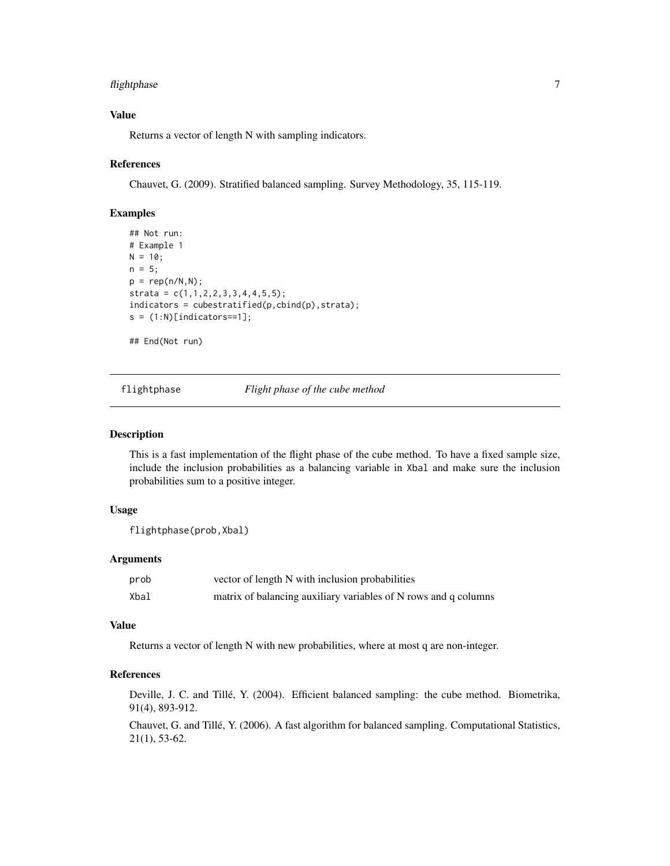# <span id="page-6-0"></span>flightphase 7

# Value

Returns a vector of length N with sampling indicators.

# References

Chauvet, G. (2009). Stratified balanced sampling. Survey Methodology, 35, 115-119.

# Examples

```
## Not run:
# Example 1
N = 10;
n = 5;
p = rep(n/N,N);
strata = c(1,1,2,2,3,3,4,4,5,5);indicators = cubestratified(p,cbind(p),strata);
s = (1:N)[indicates==1];
```
## End(Not run)

flightphase *Flight phase of the cube method*

# Description

This is a fast implementation of the flight phase of the cube method. To have a fixed sample size, include the inclusion probabilities as a balancing variable in Xbal and make sure the inclusion probabilities sum to a positive integer.

# Usage

```
flightphase(prob,Xbal)
```
# Arguments

| prob | vector of length N with inclusion probabilities                 |
|------|-----------------------------------------------------------------|
| Xbal | matrix of balancing auxiliary variables of N rows and q columns |

# Value

Returns a vector of length N with new probabilities, where at most q are non-integer.

# References

Deville, J. C. and Tillé, Y. (2004). Efficient balanced sampling: the cube method. Biometrika, 91(4), 893-912.

Chauvet, G. and Tillé, Y. (2006). A fast algorithm for balanced sampling. Computational Statistics, 21(1), 53-62.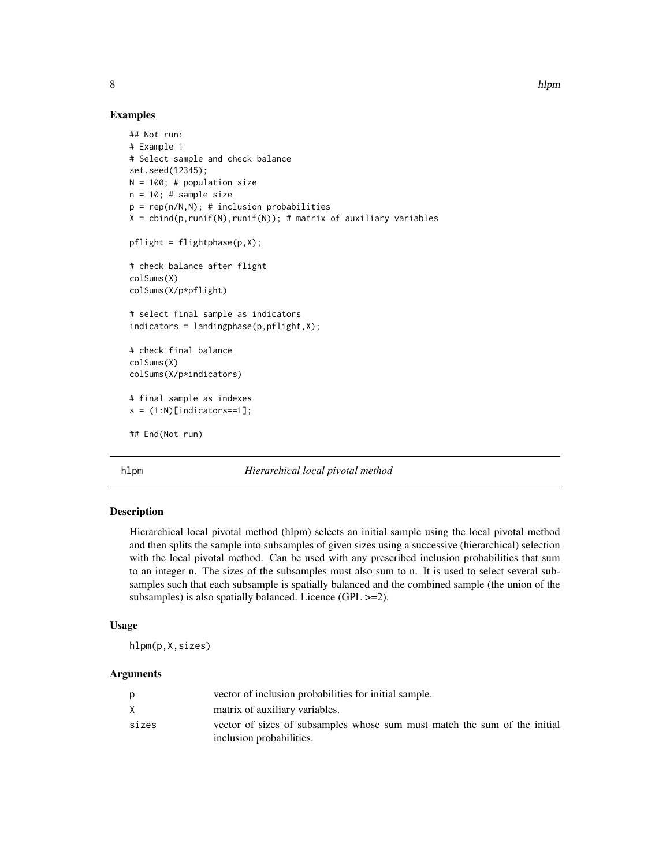8 hlpm

# Examples

```
## Not run:
# Example 1
# Select sample and check balance
set.seed(12345);
N = 100; # population size
n = 10; # sample size
p = rep(n/N,N); # inclusion probabilities
X = \text{cbind}(p, \text{runif}(N), \text{runif}(N)); # matrix of auxiliary variables
pflight = flightphase(p,X);
# check balance after flight
colSums(X)
colSums(X/p*pflight)
# select final sample as indicators
indicators = landingphase(p,pflight,X);# check final balance
colSums(X)
colSums(X/p*indicators)
# final sample as indexes
s = (1:N)[indicators==1];## End(Not run)
```
hlpm *Hierarchical local pivotal method*

# Description

Hierarchical local pivotal method (hlpm) selects an initial sample using the local pivotal method and then splits the sample into subsamples of given sizes using a successive (hierarchical) selection with the local pivotal method. Can be used with any prescribed inclusion probabilities that sum to an integer n. The sizes of the subsamples must also sum to n. It is used to select several subsamples such that each subsample is spatially balanced and the combined sample (the union of the subsamples) is also spatially balanced. Licence (GPL  $>=$  2).

# Usage

hlpm(p,X,sizes)

|       | vector of inclusion probabilities for initial sample.                                                 |
|-------|-------------------------------------------------------------------------------------------------------|
|       | matrix of auxiliary variables.                                                                        |
| sizes | vector of sizes of subsamples whose sum must match the sum of the initial<br>inclusion probabilities. |

<span id="page-7-0"></span>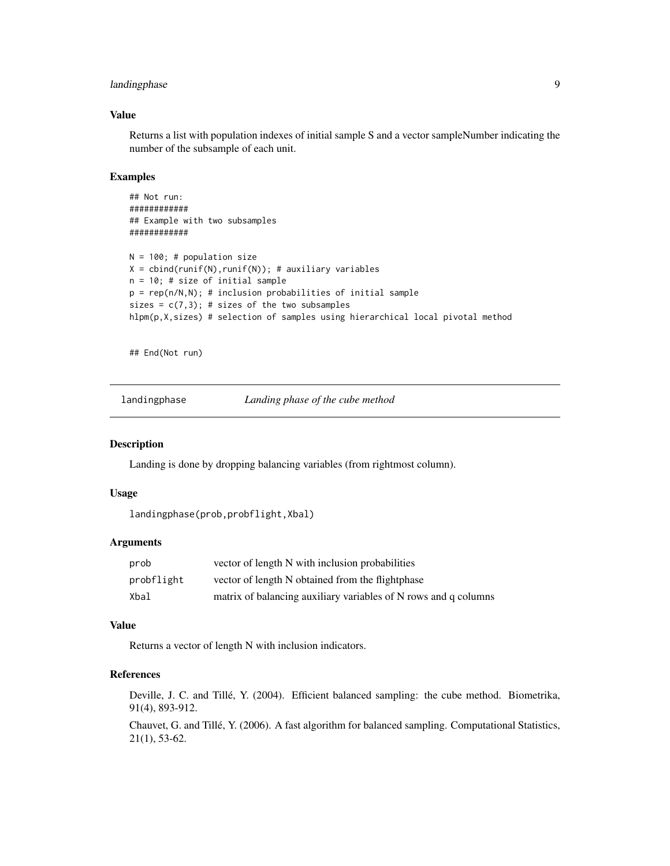# <span id="page-8-0"></span>landingphase 9

# Value

Returns a list with population indexes of initial sample S and a vector sampleNumber indicating the number of the subsample of each unit.

# Examples

```
## Not run:
############
## Example with two subsamples
############
N = 100; # population size
X = \text{cbind}(\text{runif(N)}, \text{runif(N)}); # auxiliary variables
n = 10; # size of initial sample
p = rep(n/N, N); # inclusion probabilities of initial sample
sizes = c(7,3); # sizes of the two subsamples
hlpm(p,X,sizes) # selection of samples using hierarchical local pivotal method
```
## End(Not run)

landingphase *Landing phase of the cube method*

# **Description**

Landing is done by dropping balancing variables (from rightmost column).

#### Usage

```
landingphase(prob,probflight,Xbal)
```
#### Arguments

| prob       | vector of length N with inclusion probabilities                 |
|------------|-----------------------------------------------------------------|
| probflight | vector of length N obtained from the flightphase                |
| Xbal       | matrix of balancing auxiliary variables of N rows and q columns |

# Value

Returns a vector of length N with inclusion indicators.

# References

Deville, J. C. and Tillé, Y. (2004). Efficient balanced sampling: the cube method. Biometrika, 91(4), 893-912.

Chauvet, G. and Tillé, Y. (2006). A fast algorithm for balanced sampling. Computational Statistics, 21(1), 53-62.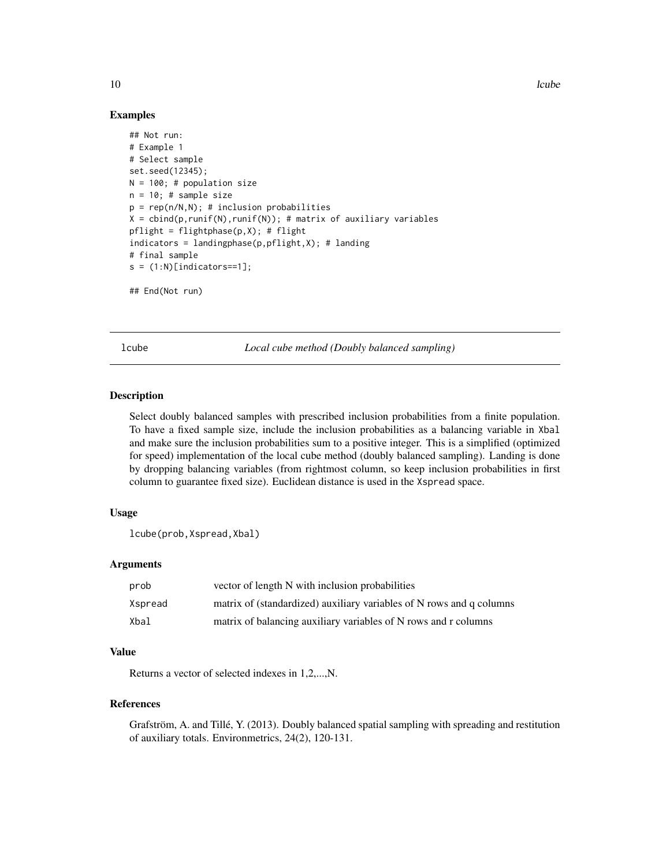10 lcube

# Examples

```
## Not run:
# Example 1
# Select sample
set.seed(12345);
N = 100; # population size
n = 10; # sample size
p = rep(n/N,N); # inclusion probabilities
X = \text{cbind}(p, runif(N), runif(N)); # matrix of auxiliary variables
pflight = flightphase(p,X); # flightindices = landingphase(p,pflight,X); # landing# final sample
s = (1:N)[indicates==1];
```
## End(Not run)

lcube *Local cube method (Doubly balanced sampling)*

# Description

Select doubly balanced samples with prescribed inclusion probabilities from a finite population. To have a fixed sample size, include the inclusion probabilities as a balancing variable in Xbal and make sure the inclusion probabilities sum to a positive integer. This is a simplified (optimized for speed) implementation of the local cube method (doubly balanced sampling). Landing is done by dropping balancing variables (from rightmost column, so keep inclusion probabilities in first column to guarantee fixed size). Euclidean distance is used in the Xspread space.

# Usage

```
lcube(prob,Xspread,Xbal)
```
# Arguments

| prob    | vector of length N with inclusion probabilities                      |
|---------|----------------------------------------------------------------------|
| Xspread | matrix of (standardized) auxiliary variables of N rows and q columns |
| Xbal    | matrix of balancing auxiliary variables of N rows and r columns      |

# Value

Returns a vector of selected indexes in 1,2,...,N.

# References

Grafström, A. and Tillé, Y. (2013). Doubly balanced spatial sampling with spreading and restitution of auxiliary totals. Environmetrics, 24(2), 120-131.

<span id="page-9-0"></span>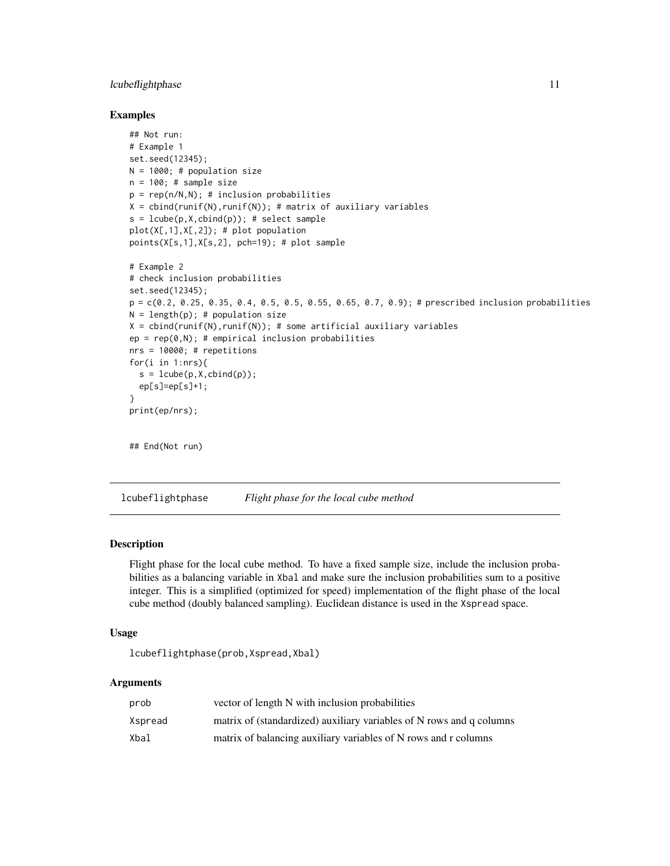# <span id="page-10-0"></span>**lcubeflightphase** 11

# Examples

```
## Not run:
# Example 1
set.seed(12345);
N = 1000; # population size
n = 100; # sample size
p = rep(n/N,N); # inclusion probabilities
X = \text{cbind}(\text{runif(N)}, \text{runif(N)}); # matrix of auxiliary variables
s = \text{lcube}(p, X, \text{cbind}(p)); # select sample
plot(X[,1],X[,2]); # plot population
points(X[s,1],X[s,2], pch=19); # plot sample
# Example 2
# check inclusion probabilities
set.seed(12345);
p = c(0.2, 0.25, 0.35, 0.4, 0.5, 0.5, 0.55, 0.65, 0.7, 0.9); # prescribed inclusion probabilities
N = length(p); # population size
X = \text{cbind}(\text{runif(N)}, \text{runif(N)}); # some artificial auxiliary variables
ep = rep(0,N); # empirical inclusion probabilities
nrs = 10000; # repetitions
for(i in 1:nrs){
  s = \text{lcube}(p, X, \text{cbind}(p));ep[s]=ep[s]+1;}
print(ep/nrs);
## End(Not run)
```
lcubeflightphase *Flight phase for the local cube method*

# Description

Flight phase for the local cube method. To have a fixed sample size, include the inclusion probabilities as a balancing variable in Xbal and make sure the inclusion probabilities sum to a positive integer. This is a simplified (optimized for speed) implementation of the flight phase of the local cube method (doubly balanced sampling). Euclidean distance is used in the Xspread space.

# Usage

lcubeflightphase(prob,Xspread,Xbal)

| prob    | vector of length N with inclusion probabilities                      |
|---------|----------------------------------------------------------------------|
| Xspread | matrix of (standardized) auxiliary variables of N rows and q columns |
| Xbal    | matrix of balancing auxiliary variables of N rows and r columns      |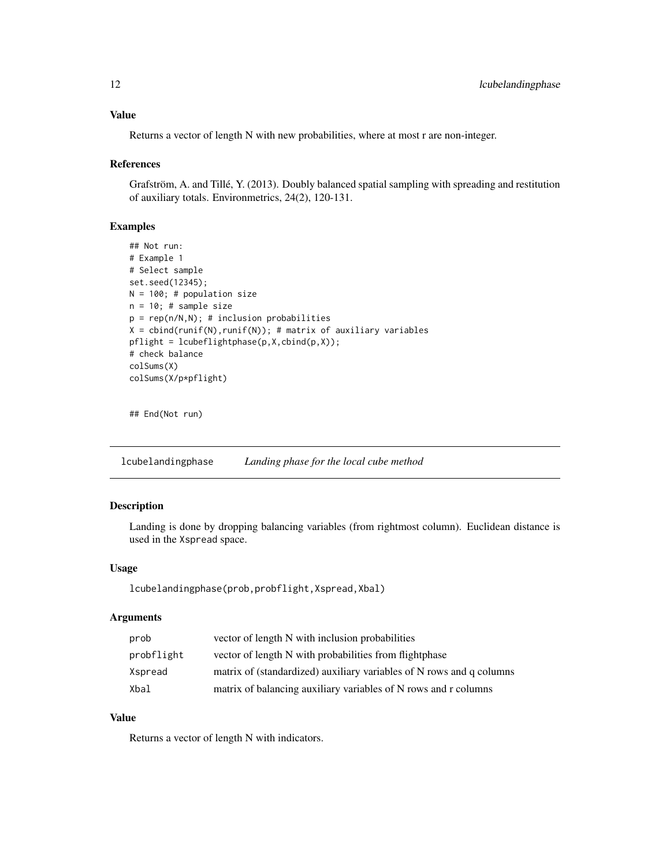# <span id="page-11-0"></span>Value

Returns a vector of length N with new probabilities, where at most r are non-integer.

#### References

Grafström, A. and Tillé, Y. (2013). Doubly balanced spatial sampling with spreading and restitution of auxiliary totals. Environmetrics, 24(2), 120-131.

#### Examples

```
## Not run:
# Example 1
# Select sample
set.seed(12345);
N = 100; # population size
n = 10; # sample size
p = rep(n/N,N); # inclusion probabilities
X = \text{cbind}(\text{runif(N)}, \text{runif(N)}); # matrix of auxiliary variables
pflight = lcubeflightphase(p,X,cbind(p,X));
# check balance
colSums(X)
colSums(X/p*pflight)
```
## End(Not run)

lcubelandingphase *Landing phase for the local cube method*

# Description

Landing is done by dropping balancing variables (from rightmost column). Euclidean distance is used in the Xspread space.

# Usage

lcubelandingphase(prob,probflight,Xspread,Xbal)

# Arguments

| prob       | vector of length N with inclusion probabilities                      |
|------------|----------------------------------------------------------------------|
| probflight | vector of length N with probabilities from flightphase               |
| Xspread    | matrix of (standardized) auxiliary variables of N rows and q columns |
| Xbal       | matrix of balancing auxiliary variables of N rows and r columns      |

# Value

Returns a vector of length N with indicators.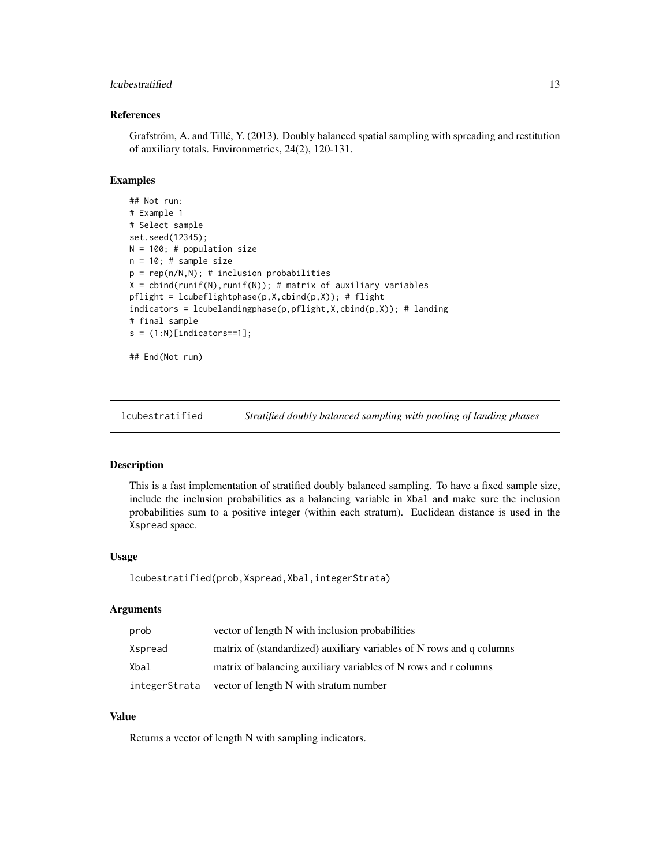# <span id="page-12-0"></span>lcubestratified 13

# References

Grafström, A. and Tillé, Y. (2013). Doubly balanced spatial sampling with spreading and restitution of auxiliary totals. Environmetrics, 24(2), 120-131.

### Examples

```
## Not run:
# Example 1
# Select sample
set.seed(12345);
N = 100; # population size
n = 10; # sample size
p = rep(n/N,N); # inclusion probabilities
X = \text{cbind}(\text{runif(N)}, \text{runif(N)}); # matrix of auxiliary variables
pflight = lcubeflightphase(p, X, cbind(p, X)); # flight
indicators = lcubelandingphase(p,pflight,X,cbind(p,X)); # landing# final sample
s = (1:N)[indicators==1];## End(Not run)
```
lcubestratified *Stratified doubly balanced sampling with pooling of landing phases*

# Description

This is a fast implementation of stratified doubly balanced sampling. To have a fixed sample size, include the inclusion probabilities as a balancing variable in Xbal and make sure the inclusion probabilities sum to a positive integer (within each stratum). Euclidean distance is used in the Xspread space.

#### Usage

lcubestratified(prob,Xspread,Xbal,integerStrata)

# Arguments

| prob          | vector of length N with inclusion probabilities                      |
|---------------|----------------------------------------------------------------------|
| Xspread       | matrix of (standardized) auxiliary variables of N rows and q columns |
| Xbal          | matrix of balancing auxiliary variables of N rows and r columns      |
| integerStrata | vector of length N with stratum number                               |

# Value

Returns a vector of length N with sampling indicators.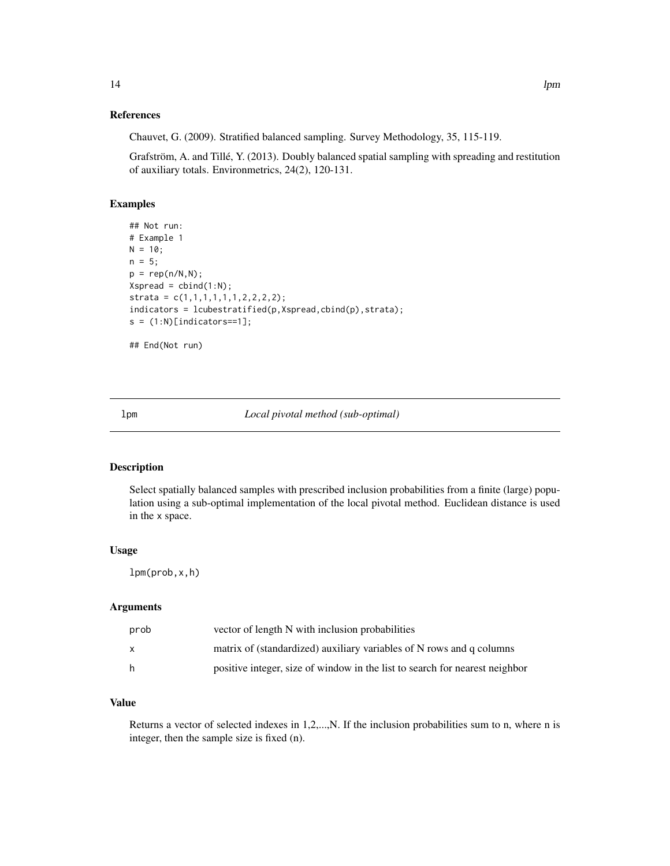# <span id="page-13-0"></span>References

Chauvet, G. (2009). Stratified balanced sampling. Survey Methodology, 35, 115-119.

Grafström, A. and Tillé, Y. (2013). Doubly balanced spatial sampling with spreading and restitution of auxiliary totals. Environmetrics, 24(2), 120-131.

# Examples

```
## Not run:
# Example 1
N = 10;
n = 5;p = rep(n/N,N);Xspread = chind(1:N);strata = c(1,1,1,1,1,1,2,2,2,2);indicators = lcube stratified(p,Xspread,cbind(p),strata);s = (1:N)[indicates==1];## End(Not run)
```
lpm *Local pivotal method (sub-optimal)*

# Description

Select spatially balanced samples with prescribed inclusion probabilities from a finite (large) population using a sub-optimal implementation of the local pivotal method. Euclidean distance is used in the x space.

#### Usage

lpm(prob,x,h)

# Arguments

| prob | vector of length N with inclusion probabilities                             |
|------|-----------------------------------------------------------------------------|
|      | matrix of (standardized) auxiliary variables of N rows and q columns        |
| h.   | positive integer, size of window in the list to search for nearest neighbor |

# Value

Returns a vector of selected indexes in 1,2,...,N. If the inclusion probabilities sum to n, where n is integer, then the sample size is fixed (n).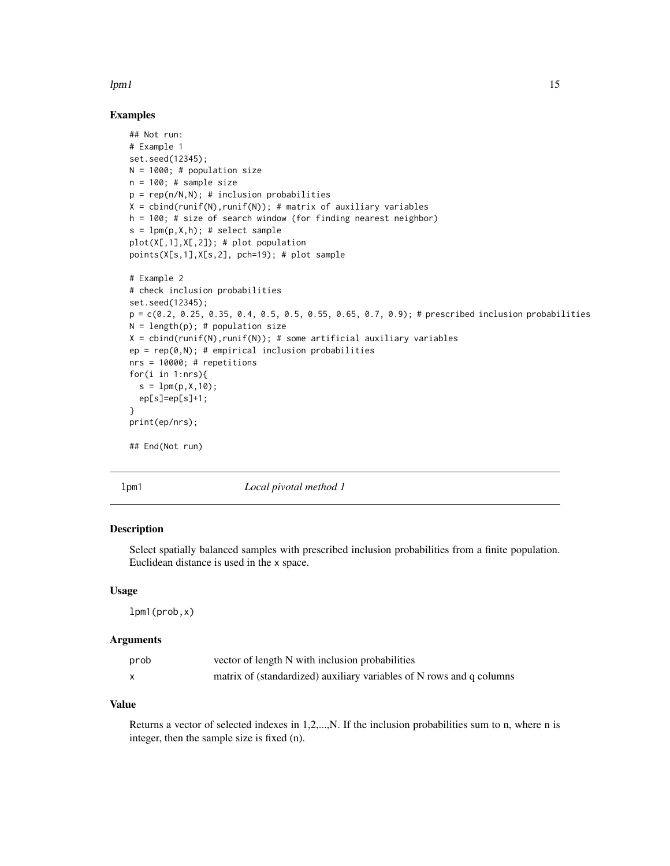#### <span id="page-14-0"></span> $lpm1$  15

# Examples

```
## Not run:
# Example 1
set.seed(12345);
N = 1000; # population size
n = 100; # sample size
p = rep(n/N,N); # inclusion probabilities
X = \text{cbind}(\text{runif(N)}, \text{runif(N)}); # matrix of auxiliary variables
h = 100; # size of search window (for finding nearest neighbor)
s = 1pm(p,X,h); # select sample
plot(X[,1],X[,2]); # plot population
points(X[s,1],X[s,2], pch=19); # plot sample
# Example 2
# check inclusion probabilities
set.seed(12345);
p = c(0.2, 0.25, 0.35, 0.4, 0.5, 0.5, 0.55, 0.65, 0.7, 0.9);# prescribed inclusion probabilities
N = length(p); # population size
X = \text{cbind}(\text{runif(N)}, \text{runif(N)}); # some artificial auxiliary variables
ep = rep(0,N); # empirical inclusion probabilities
nrs = 10000; # repetitions
for(i in 1:nrs){
  s = 1pm(p, X, 10);
  ep[s]=ep[s]+1;
}
print(ep/nrs);
## End(Not run)
```
lpm1 *Local pivotal method 1*

# Description

Select spatially balanced samples with prescribed inclusion probabilities from a finite population. Euclidean distance is used in the x space.

#### Usage

lpm1(prob,x)

# **Arguments**

| prob | vector of length N with inclusion probabilities                      |
|------|----------------------------------------------------------------------|
|      | matrix of (standardized) auxiliary variables of N rows and q columns |

# Value

Returns a vector of selected indexes in 1,2,...,N. If the inclusion probabilities sum to n, where n is integer, then the sample size is fixed (n).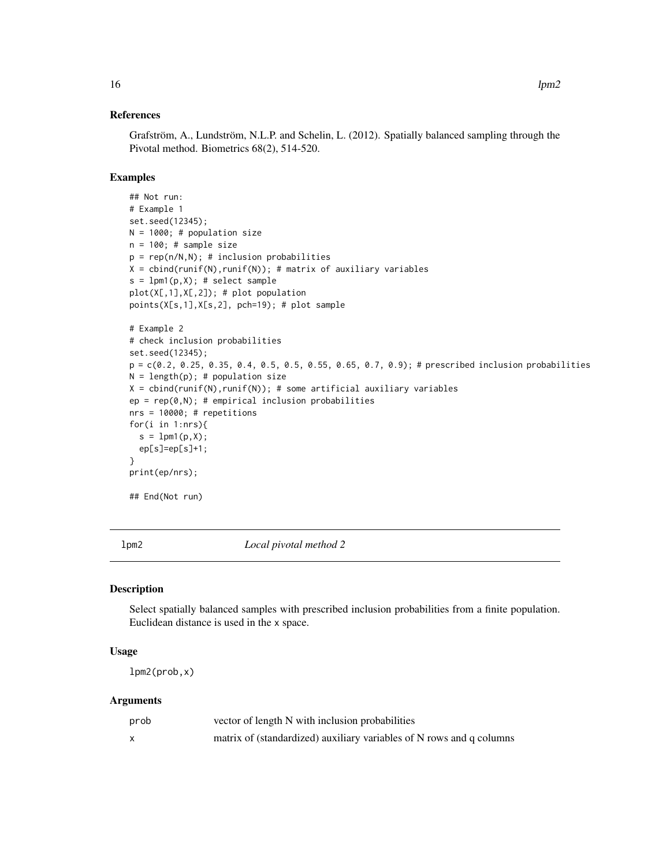# <span id="page-15-0"></span>References

Grafström, A., Lundström, N.L.P. and Schelin, L. (2012). Spatially balanced sampling through the Pivotal method. Biometrics 68(2), 514-520.

# Examples

```
## Not run:
# Example 1
set.seed(12345);
N = 1000; # population size
n = 100; # sample size
p = rep(n/N,N); # inclusion probabilities
X = \text{cbind}(\text{runif(N)}, \text{runif(N)}); # matrix of auxiliary variables
s = 1pm1(p,X); # select sample
plot(X[,1],X[,2]); # plot population
points(X[s,1],X[s,2], pch=19); # plot sample
# Example 2
# check inclusion probabilities
set.seed(12345);
p = c(0.2, 0.25, 0.35, 0.4, 0.5, 0.5, 0.55, 0.65, 0.7, 0.9); # prescribed inclusion probabilities
N = length(p); # population size
X = \text{cbind}(\text{runif(N)}, \text{runif(N)}); # some artificial auxiliary variables
ep = rep(0,N); # empirical inclusion probabilities
nrs = 10000; # repetitions
for(i in 1:nrs){
  s = 1pm1(p, X);ep[s]=ep[s]+1;
}
print(ep/nrs);
## End(Not run)
```
lpm2 *Local pivotal method 2*

# Description

Select spatially balanced samples with prescribed inclusion probabilities from a finite population. Euclidean distance is used in the x space.

# Usage

lpm2(prob,x)

| prob | vector of length N with inclusion probabilities                      |
|------|----------------------------------------------------------------------|
|      | matrix of (standardized) auxiliary variables of N rows and q columns |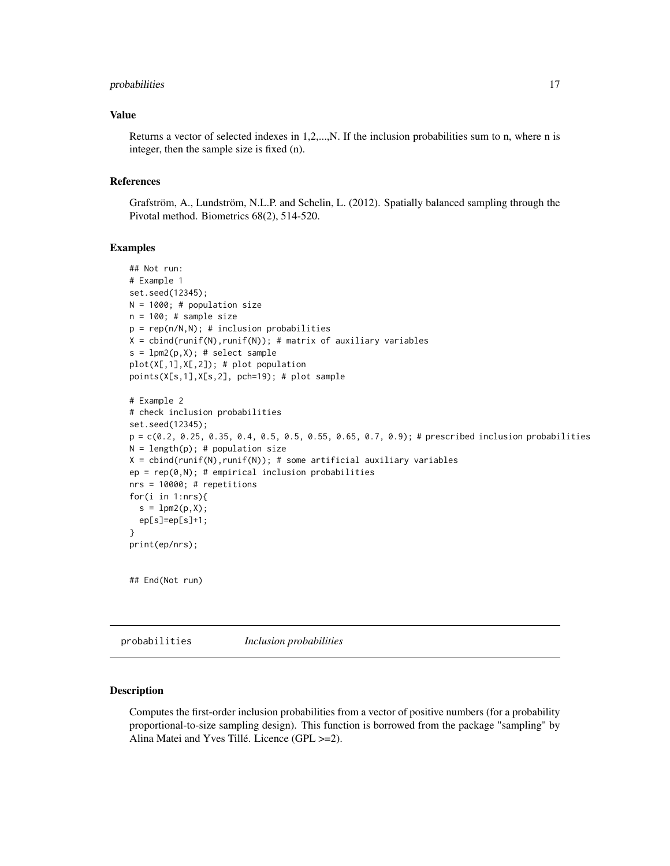# <span id="page-16-0"></span>probabilities 17

# Value

Returns a vector of selected indexes in 1,2,...,N. If the inclusion probabilities sum to n, where n is integer, then the sample size is fixed (n).

#### References

Grafström, A., Lundström, N.L.P. and Schelin, L. (2012). Spatially balanced sampling through the Pivotal method. Biometrics 68(2), 514-520.

#### Examples

```
## Not run:
# Example 1
set.seed(12345);
N = 1000; # population size
n = 100; # sample size
p = rep(n/N, N); # inclusion probabilities
X = \text{cbind}(\text{runif(N)}, \text{runif(N)}); # matrix of auxiliary variables
s = 1pm2(p,X); # select sample
plot(X[,1],X[,2]); # plot population
points(X[s,1],X[s,2], pch=19); # plot sample
# Example 2
# check inclusion probabilities
set.seed(12345);
p = c(0.2, 0.25, 0.35, 0.4, 0.5, 0.5, 0.55, 0.65, 0.7, 0.9); # prescribed inclusion probabilities
N = length(p); # population size
X = \text{cbind}(\text{runif(N)}, \text{runif(N)}); # some artificial auxiliary variables
ep = rep(0,N); # empirical inclusion probabilities
nrs = 10000; # repetitions
for(i in 1:nrs){
  s = 1pm2(p,X);ep[s]=ep[s]+1;
}
print(ep/nrs);
## End(Not run)
```
probabilities *Inclusion probabilities*

# **Description**

Computes the first-order inclusion probabilities from a vector of positive numbers (for a probability proportional-to-size sampling design). This function is borrowed from the package "sampling" by Alina Matei and Yves Tillé. Licence (GPL >=2).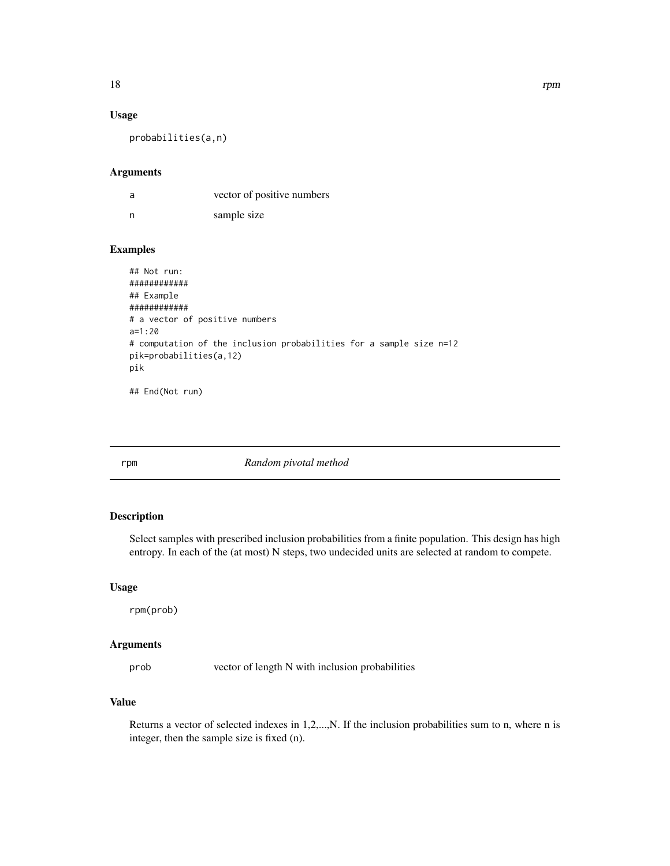# Usage

probabilities(a,n)

#### Arguments

| a   | vector of positive numbers |
|-----|----------------------------|
| - n | sample size                |

# Examples

```
## Not run:
############
## Example
############
# a vector of positive numbers
a=1:20
# computation of the inclusion probabilities for a sample size n=12
pik=probabilities(a,12)
pik
```
## End(Not run)

rpm *Random pivotal method*

# Description

Select samples with prescribed inclusion probabilities from a finite population. This design has high entropy. In each of the (at most) N steps, two undecided units are selected at random to compete.

#### Usage

rpm(prob)

# Arguments

prob vector of length N with inclusion probabilities

# Value

Returns a vector of selected indexes in 1,2,...,N. If the inclusion probabilities sum to n, where n is integer, then the sample size is fixed (n).

<span id="page-17-0"></span>18 and 18 rpm  $\frac{1}{2}$  rpm  $\frac{1}{2}$  rpm  $\frac{1}{2}$  rpm  $\frac{1}{2}$  rpm  $\frac{1}{2}$  rpm  $\frac{1}{2}$  rpm  $\frac{1}{2}$  rpm  $\frac{1}{2}$  rpm  $\frac{1}{2}$  rpm  $\frac{1}{2}$  rpm  $\frac{1}{2}$  rpm  $\frac{1}{2}$  rpm  $\frac{1}{2}$  rpm  $\frac{1}{2}$  rpm  $\frac{1}{2}$  rp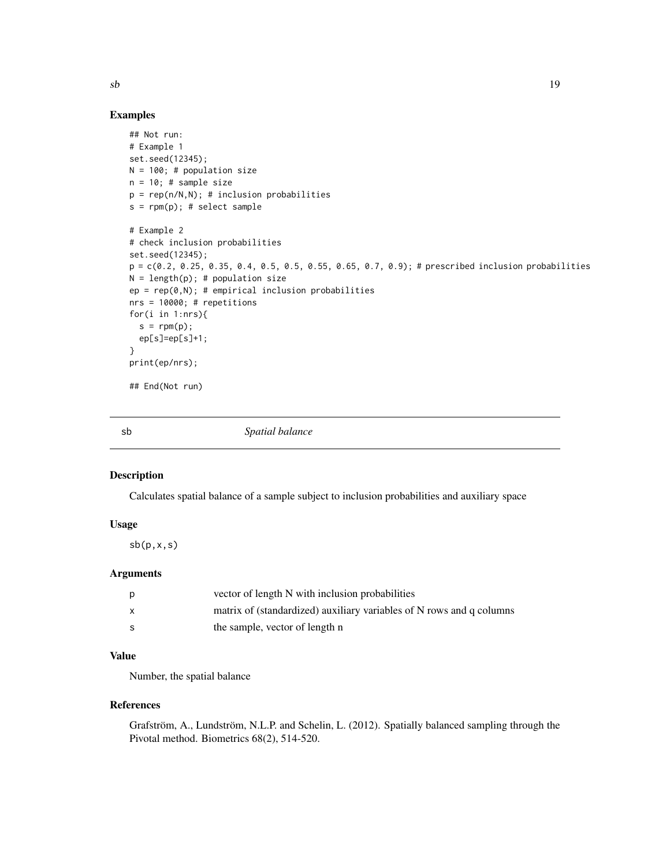# Examples

```
## Not run:
# Example 1
set.seed(12345);
N = 100; # population size
n = 10; # sample size
p = rep(n/N,N); # inclusion probabilities
s = rpm(p); # select sample
# Example 2
# check inclusion probabilities
set.seed(12345);
p = c(0.2, 0.25, 0.35, 0.4, 0.5, 0.5, 0.55, 0.65, 0.7, 0.9); # prescribed inclusion probabilities
N = length(p); # population size
ep = rep(0,N); # empirical inclusion probabilities
nrs = 10000; # repetitions
for(i in 1:nrs){
  s = rpm(p);ep[s]=ep[s]+1;
}
print(ep/nrs);
## End(Not run)
```
sb *Spatial balance*

# Description

Calculates spatial balance of a sample subject to inclusion probabilities and auxiliary space

# Usage

 $sb(p,x,s)$ 

#### Arguments

| vector of length N with inclusion probabilities                      |
|----------------------------------------------------------------------|
| matrix of (standardized) auxiliary variables of N rows and q columns |
| the sample, vector of length n                                       |

# Value

Number, the spatial balance

# References

Grafström, A., Lundström, N.L.P. and Schelin, L. (2012). Spatially balanced sampling through the Pivotal method. Biometrics 68(2), 514-520.

<span id="page-18-0"></span> $s\mathbf{b}$  19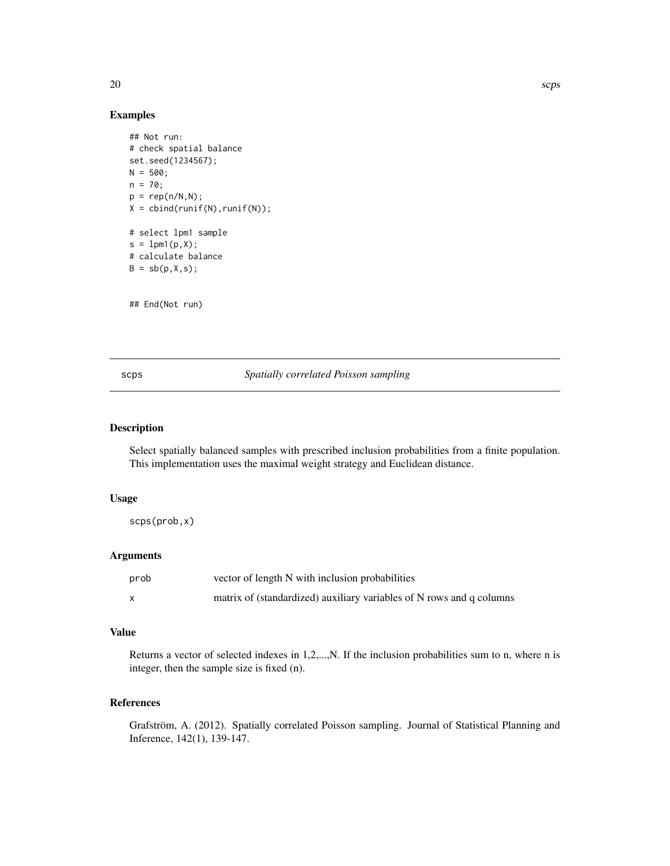# Examples

```
## Not run:
# check spatial balance
set.seed(1234567);
N = 500;n = 70;
p = rep(n/N,N);X = \text{cbind}(\text{runif(N)}, \text{runif(N)});# select lpm1 sample
s = 1pm1(p,X);# calculate balance
B = sb(p, X, s);
```
## End(Not run)

scps *Spatially correlated Poisson sampling*

# Description

Select spatially balanced samples with prescribed inclusion probabilities from a finite population. This implementation uses the maximal weight strategy and Euclidean distance.

# Usage

scps(prob,x)

# Arguments

| prob | vector of length N with inclusion probabilities                      |
|------|----------------------------------------------------------------------|
|      | matrix of (standardized) auxiliary variables of N rows and q columns |

# Value

Returns a vector of selected indexes in 1,2,...,N. If the inclusion probabilities sum to n, where n is integer, then the sample size is fixed (n).

# References

Grafström, A. (2012). Spatially correlated Poisson sampling. Journal of Statistical Planning and Inference, 142(1), 139-147.

<span id="page-19-0"></span>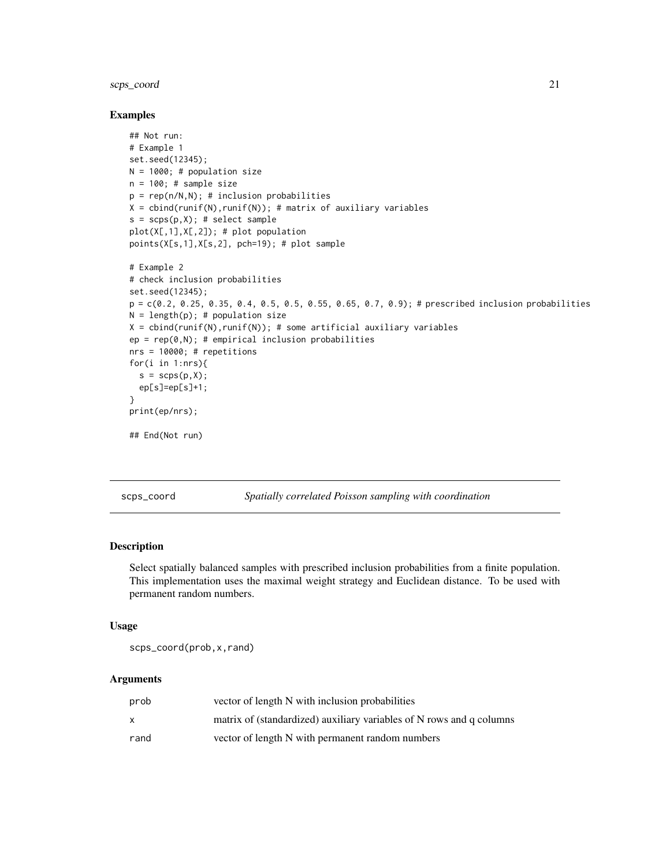# <span id="page-20-0"></span>scps\_coord 21

# Examples

```
## Not run:
# Example 1
set.seed(12345);
N = 1000; # population size
n = 100; # sample size
p = rep(n/N,N); # inclusion probabilities
X = \text{cbind}(\text{runif(N)}, \text{runif(N)}); # matrix of auxiliary variables
s = scps(p,X); # select sample
plot(X[,1],X[,2]); # plot population
points(X[s,1],X[s,2], pch=19); # plot sample
# Example 2
# check inclusion probabilities
set.seed(12345);
p = c(0.2, 0.25, 0.35, 0.4, 0.5, 0.5, 0.55, 0.65, 0.7, 0.9); # prescribed inclusion probabilities
N = length(p); # population size
X = \text{cbind}(\text{runif(N)}, \text{runif(N)}); # some artificial auxiliary variables
ep = rep(0,N); # empirical inclusion probabilities
nrs = 10000; # repetitions
for(i in 1:nrs){
  s = scps(p, X);ep[s]=ep[s]+1;
}
print(ep/nrs);
## End(Not run)
```
scps\_coord *Spatially correlated Poisson sampling with coordination*

# Description

Select spatially balanced samples with prescribed inclusion probabilities from a finite population. This implementation uses the maximal weight strategy and Euclidean distance. To be used with permanent random numbers.

#### Usage

scps\_coord(prob,x,rand)

| prob | vector of length N with inclusion probabilities                      |
|------|----------------------------------------------------------------------|
|      | matrix of (standardized) auxiliary variables of N rows and q columns |
| rand | vector of length N with permanent random numbers                     |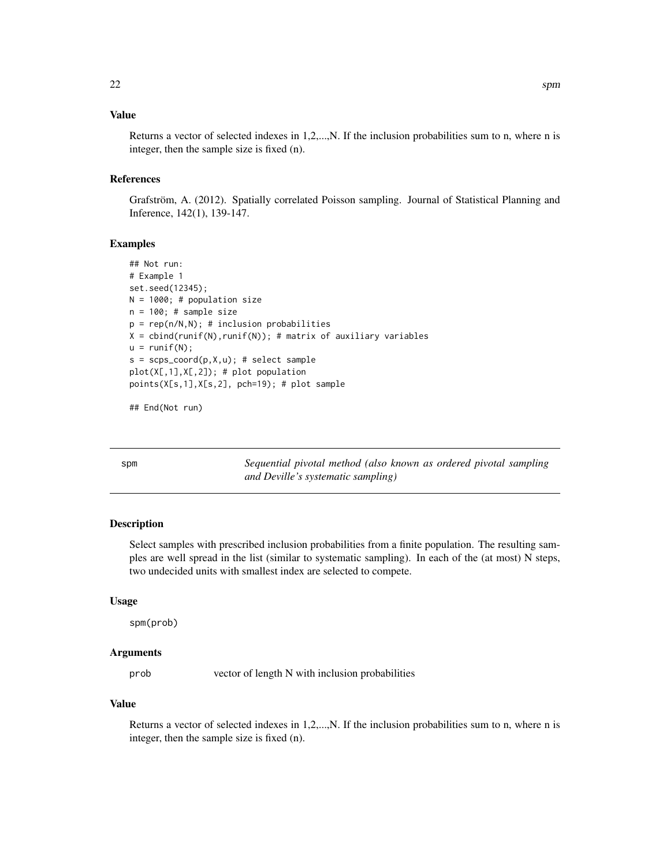# <span id="page-21-0"></span>Value

Returns a vector of selected indexes in 1,2,...,N. If the inclusion probabilities sum to n, where n is integer, then the sample size is fixed (n).

# References

Grafström, A. (2012). Spatially correlated Poisson sampling. Journal of Statistical Planning and Inference, 142(1), 139-147.

#### Examples

```
## Not run:
# Example 1
set.seed(12345);
N = 1000; # population size
n = 100; # sample size
p = rep(n/N,N); # inclusion probabilities
X = \text{cbind}(\text{runif(N)}, \text{runif(N)}); # matrix of auxiliary variables
u = runif(N);s = scps\_coord(p, X, u); # select sample
plot(X[,1],X[,2]); # plot population
points(X[s,1],X[s,2], pch=19); # plot sample
```
## End(Not run)

spm *Sequential pivotal method (also known as ordered pivotal sampling and Deville's systematic sampling)*

# Description

Select samples with prescribed inclusion probabilities from a finite population. The resulting samples are well spread in the list (similar to systematic sampling). In each of the (at most) N steps, two undecided units with smallest index are selected to compete.

# Usage

spm(prob)

# Arguments

prob vector of length N with inclusion probabilities

#### Value

Returns a vector of selected indexes in 1,2,...,N. If the inclusion probabilities sum to n, where n is integer, then the sample size is fixed (n).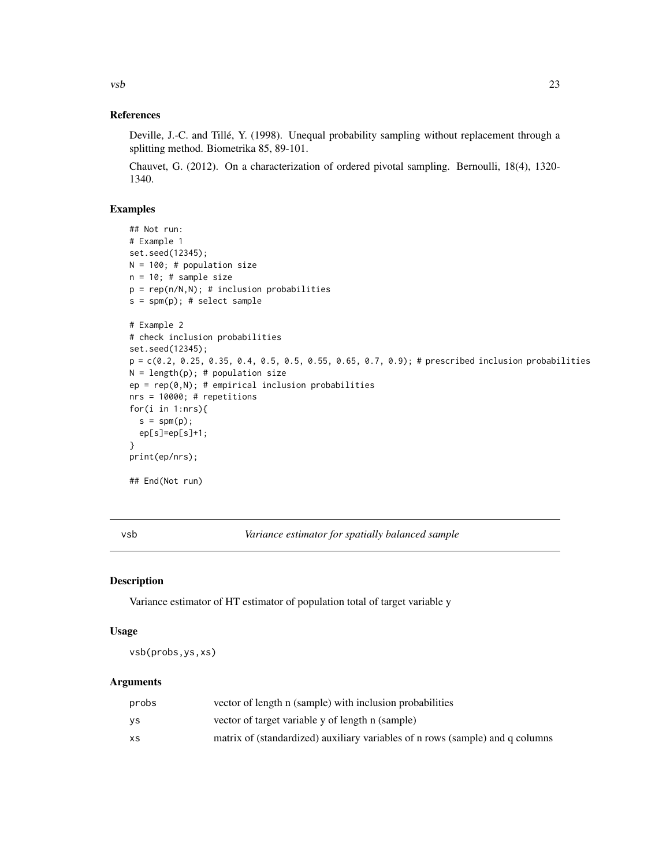<span id="page-22-0"></span> $\vee$  vsb 23

# References

Deville, J.-C. and Tillé, Y. (1998). Unequal probability sampling without replacement through a splitting method. Biometrika 85, 89-101.

Chauvet, G. (2012). On a characterization of ordered pivotal sampling. Bernoulli, 18(4), 1320- 1340.

# Examples

```
## Not run:
# Example 1
set.seed(12345);
N = 100; # population size
n = 10; # sample size
p = rep(n/N,N); # inclusion probabilities
s = spm(p); # select sample
# Example 2
# check inclusion probabilities
set.seed(12345);
p = c(0.2, 0.25, 0.35, 0.4, 0.5, 0.5, 0.55, 0.65, 0.7, 0.9); # prescribed inclusion probabilities
N = length(p); # population size
ep = rep(0,N); # empirical inclusion probabilities
nrs = 10000; # repetitions
for(i in 1:nrs){
  s = spm(p);ep[s]=ep[s]+1;
}
print(ep/nrs);
## End(Not run)
```
vsb *Variance estimator for spatially balanced sample*

#### Description

Variance estimator of HT estimator of population total of target variable y

# Usage

vsb(probs,ys,xs)

| probs     | vector of length n (sample) with inclusion probabilities                      |
|-----------|-------------------------------------------------------------------------------|
| ٧S        | vector of target variable y of length n (sample)                              |
| <b>XS</b> | matrix of (standardized) auxiliary variables of n rows (sample) and q columns |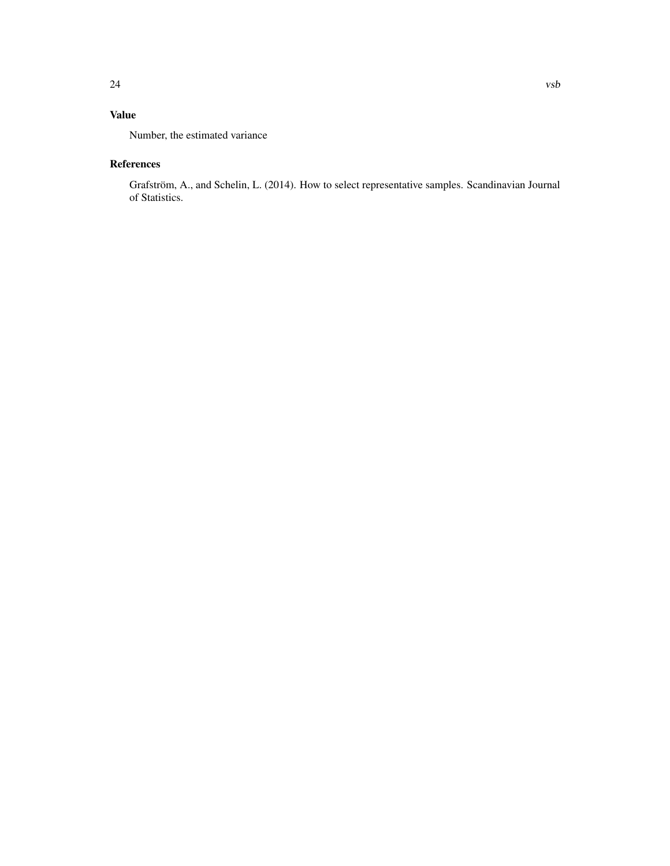# Value

Number, the estimated variance

# References

Grafström, A., and Schelin, L. (2014). How to select representative samples. Scandinavian Journal of Statistics.